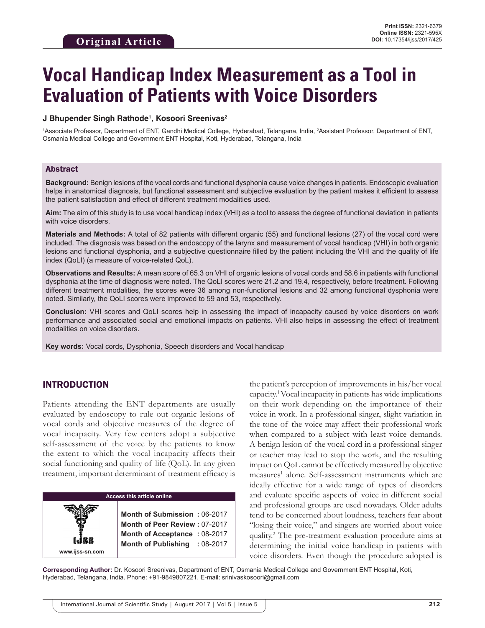# **Vocal Handicap Index Measurement as a Tool in Evaluation of Patients with Voice Disorders**

### **J Bhupender Singh Rathode1 , Kosoori Sreenivas2**

<sup>1</sup>Associate Professor, Department of ENT, Gandhi Medical College, Hyderabad, Telangana, India, <sup>2</sup>Assistant Professor, Department of ENT, Osmania Medical College and Government ENT Hospital, Koti, Hyderabad, Telangana, India

### Abstract

**Background:** Benign lesions of the vocal cords and functional dysphonia cause voice changes in patients. Endoscopic evaluation helps in anatomical diagnosis, but functional assessment and subjective evaluation by the patient makes it efficient to assess the patient satisfaction and effect of different treatment modalities used.

**Aim:** The aim of this study is to use vocal handicap index (VHI) as a tool to assess the degree of functional deviation in patients with voice disorders.

**Materials and Methods:** A total of 82 patients with different organic (55) and functional lesions (27) of the vocal cord were included. The diagnosis was based on the endoscopy of the larynx and measurement of vocal handicap (VHI) in both organic lesions and functional dysphonia, and a subjective questionnaire filled by the patient including the VHI and the quality of life index (QoLI) (a measure of voice-related QoL).

**Observations and Results:** A mean score of 65.3 on VHI of organic lesions of vocal cords and 58.6 in patients with functional dysphonia at the time of diagnosis were noted. The QoLI scores were 21.2 and 19.4, respectively, before treatment. Following different treatment modalities, the scores were 36 among non-functional lesions and 32 among functional dysphonia were noted. Similarly, the QoLI scores were improved to 59 and 53, respectively.

**Conclusion:** VHI scores and QoLI scores help in assessing the impact of incapacity caused by voice disorders on work performance and associated social and emotional impacts on patients. VHI also helps in assessing the effect of treatment modalities on voice disorders.

**Key words:** Vocal cords, Dysphonia, Speech disorders and Vocal handicap

## INTRODUCTION

Patients attending the ENT departments are usually evaluated by endoscopy to rule out organic lesions of vocal cords and objective measures of the degree of vocal incapacity. Very few centers adopt a subjective self-assessment of the voice by the patients to know the extent to which the vocal incapacity affects their social functioning and quality of life (QoL). In any given treatment, important determinant of treatment efficacy is

the patient's perception of improvements in his/her vocal capacity.1 Vocal incapacity in patients has wide implications on their work depending on the importance of their voice in work. In a professional singer, slight variation in the tone of the voice may affect their professional work when compared to a subject with least voice demands. A benign lesion of the vocal cord in a professional singer or teacher may lead to stop the work, and the resulting impact on QoL cannot be effectively measured by objective measures<sup>1</sup> alone. Self-assessment instruments which are ideally effective for a wide range of types of disorders and evaluate specific aspects of voice in different social and professional groups are used nowadays. Older adults tend to be concerned about loudness, teachers fear about "losing their voice," and singers are worried about voice quality.2 The pre-treatment evaluation procedure aims at determining the initial voice handicap in patients with voice disorders. Even though the procedure adopted is

**Corresponding Author:** Dr. Kosoori Sreenivas, Department of ENT, Osmania Medical College and Government ENT Hospital, Koti, Hyderabad, Telangana, India. Phone: +91-9849807221. E-mail: srinivaskosoori@gmail.com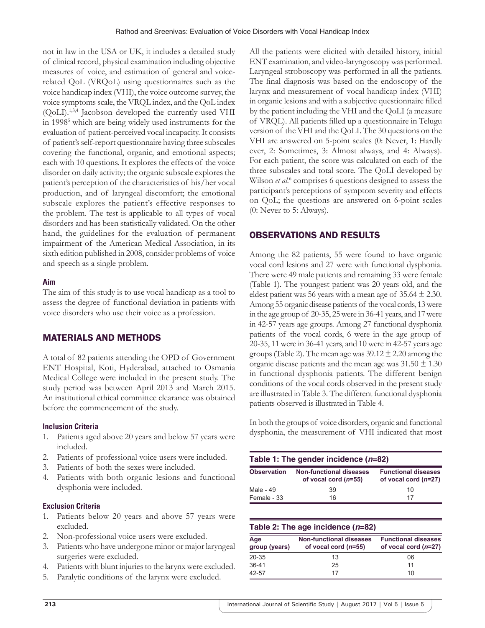not in law in the USA or UK, it includes a detailed study of clinical record, physical examination including objective measures of voice, and estimation of general and voicerelated QoL (VRQoL) using questionnaires such as the voice handicap index (VHI), the voice outcome survey, the voice symptoms scale, the VRQL index, and the QoL index (QoLI).1,3,4 Jacobson developed the currently used VHI in 1998<sup>5</sup> which are being widely used instruments for the evaluation of patient-perceived vocal incapacity. It consists of patient's self-report questionnaire having three subscales covering the functional, organic, and emotional aspects; each with 10 questions. It explores the effects of the voice disorder on daily activity; the organic subscale explores the patient's perception of the characteristics of his/her vocal production, and of laryngeal discomfort; the emotional subscale explores the patient's effective responses to the problem. The test is applicable to all types of vocal disorders and has been statistically validated. On the other hand, the guidelines for the evaluation of permanent impairment of the American Medical Association, in its sixth edition published in 2008, consider problems of voice and speech as a single problem.

## **Aim**

The aim of this study is to use vocal handicap as a tool to assess the degree of functional deviation in patients with voice disorders who use their voice as a profession.

# MATERIALS AND METHODS

A total of 82 patients attending the OPD of Government ENT Hospital, Koti, Hyderabad, attached to Osmania Medical College were included in the present study. The study period was between April 2013 and March 2015. An institutional ethical committee clearance was obtained before the commencement of the study.

## **Inclusion Criteria**

- 1. Patients aged above 20 years and below 57 years were included.
- 2. Patients of professional voice users were included.
- 3. Patients of both the sexes were included.
- 4. Patients with both organic lesions and functional dysphonia were included.

## **Exclusion Criteria**

- 1. Patients below 20 years and above 57 years were excluded.
- 2. Non-professional voice users were excluded.
- 3. Patients who have undergone minor or major laryngeal surgeries were excluded.
- 4. Patients with blunt injuries to the larynx were excluded.
- 5. Paralytic conditions of the larynx were excluded.

All the patients were elicited with detailed history, initial ENT examination, and video-laryngoscopy was performed. Laryngeal stroboscopy was performed in all the patients. The final diagnosis was based on the endoscopy of the larynx and measurement of vocal handicap index (VHI) in organic lesions and with a subjective questionnaire filled by the patient including the VHI and the QoLI (a measure of VRQL). All patients filled up a questionnaire in Telugu version of the VHI and the QoLI. The 30 questions on the VHI are answered on 5-point scales (0: Never, 1: Hardly ever, 2: Sometimes, 3: Almost always, and 4: Always). For each patient, the score was calculated on each of the three subscales and total score. The QoLI developed by Wilson *et al.*<sup>6</sup> comprises 6 questions designed to assess the participant's perceptions of symptom severity and effects on QoL; the questions are answered on 6-point scales (0: Never to 5: Always).

# OBSERVATIONS AND RESULTS

Among the 82 patients, 55 were found to have organic vocal cord lesions and 27 were with functional dysphonia. There were 49 male patients and remaining 33 were female (Table 1). The youngest patient was 20 years old, and the eldest patient was 56 years with a mean age of  $35.64 \pm 2.30$ . Among 55 organic disease patients of the vocal cords, 13 were in the age group of 20-35, 25 were in 36-41 years, and 17 were in 42-57 years age groups. Among 27 functional dysphonia patients of the vocal cords, 6 were in the age group of 20-35, 11 were in 36-41 years, and 10 were in 42-57 years age groups (Table 2). The mean age was  $39.12 \pm 2.20$  among the organic disease patients and the mean age was  $31.50 \pm 1.30$ in functional dysphonia patients. The different benign conditions of the vocal cords observed in the present study are illustrated in Table 3. The different functional dysphonia patients observed is illustrated in Table 4.

In both the groups of voice disorders, organic and functional dysphonia, the measurement of VHI indicated that most

| <b>Observation</b> | Non-functional diseases<br>of vocal cord $(n=55)$ | <b>Functional diseases</b><br>of vocal cord $(n=27)$ |  |
|--------------------|---------------------------------------------------|------------------------------------------------------|--|
| Male - 49          | 39                                                | 10                                                   |  |
| Female - 33        | 16                                                | 17                                                   |  |

## **Table 2: The age incidence (***n***=82)**

| Age<br>group (years) | <b>Non-functional diseases</b><br>of vocal cord $(n=55)$ | <b>Functional diseases</b><br>of vocal cord $(n=27)$ |
|----------------------|----------------------------------------------------------|------------------------------------------------------|
| 20-35                | 13                                                       | 06                                                   |
| $36-41$              | 25                                                       | 11                                                   |
| 42-57                | 17                                                       | 10                                                   |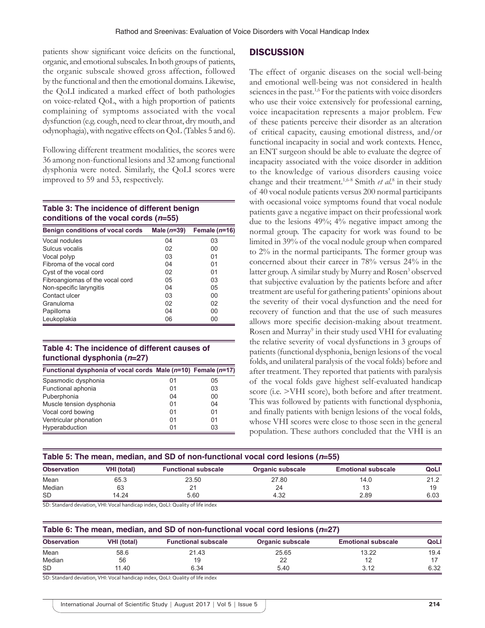patients show significant voice deficits on the functional, organic, and emotional subscales. In both groups of patients, the organic subscale showed gross affection, followed by the functional and then the emotional domains. Likewise, the QoLI indicated a marked effect of both pathologies on voice-related QoL, with a high proportion of patients complaining of symptoms associated with the vocal dysfunction (e.g. cough, need to clear throat, dry mouth, and odynophagia), with negative effects on QoL (Tables 5 and 6).

Following different treatment modalities, the scores were 36 among non-functional lesions and 32 among functional dysphonia were noted. Similarly, the QoLI scores were improved to 59 and 53, respectively.

## **Table 3: The incidence of different benign conditions of the vocal cords (***n***=55)**

| Benign conditions of vocal cords | Male $(n=39)$ | Female $(n=16)$ |
|----------------------------------|---------------|-----------------|
| Vocal nodules                    | 04            | 03              |
| Sulcus vocalis                   | 02            | 00              |
| Vocal polyp                      | 03            | 01              |
| Fibroma of the vocal cord        | 04            | 01              |
| Cyst of the vocal cord           | 02            | 01              |
| Fibroangiomas of the vocal cord  | 05            | 03              |
| Non-specific laryngitis          | 04            | 05              |
| Contact ulcer                    | 03            | 00              |
| Granuloma                        | 02            | 02              |
| Papilloma                        | 04            | 00              |
| Leukoplakia                      | 06            | 00              |

## **Table 4: The incidence of different causes of functional dysphonia (***n***=27)**

| Functional dysphonia of vocal cords Male (n=10) Female (n=17) |    |    |
|---------------------------------------------------------------|----|----|
| Spasmodic dysphonia                                           | 01 | 05 |
| Functional aphonia                                            | 01 | 03 |
| Puberphonia                                                   | 04 | 00 |
| Muscle tension dysphonia                                      | 01 | 04 |
| Vocal cord bowing                                             | 01 | 01 |
| Ventricular phonation                                         | 01 | 01 |
| Hyperabduction                                                | 01 | 03 |

## **DISCUSSION**

The effect of organic diseases on the social well-being and emotional well-being was not considered in health sciences in the past.<sup>1,6</sup> For the patients with voice disorders who use their voice extensively for professional earning, voice incapacitation represents a major problem. Few of these patients perceive their disorder as an alteration of critical capacity, causing emotional distress, and/or functional incapacity in social and work contexts. Hence, an ENT surgeon should be able to evaluate the degree of incapacity associated with the voice disorder in addition to the knowledge of various disorders causing voice change and their treatment.1,6-8 Smith *et al.*<sup>8</sup> in their study of 40 vocal nodule patients versus 200 normal participants with occasional voice symptoms found that vocal nodule patients gave a negative impact on their professional work due to the lesions 49%; 4% negative impact among the normal group. The capacity for work was found to be limited in 39% of the vocal nodule group when compared to 2% in the normal participants. The former group was concerned about their career in 78% versus 24% in the latter group. A similar study by Murry and Rosen<sup>3</sup> observed that subjective evaluation by the patients before and after treatment are useful for gathering patients' opinions about the severity of their vocal dysfunction and the need for recovery of function and that the use of such measures allows more specific decision-making about treatment. Rosen and Murray<sup>9</sup> in their study used VHI for evaluating the relative severity of vocal dysfunctions in 3 groups of patients (functional dysphonia, benign lesions of the vocal folds, and unilateral paralysis of the vocal folds) before and after treatment. They reported that patients with paralysis of the vocal folds gave highest self-evaluated handicap score (i.e. >VHI score), both before and after treatment. This was followed by patients with functional dysphonia, and finally patients with benign lesions of the vocal folds, whose VHI scores were close to those seen in the general population. These authors concluded that the VHI is an

| Table 5: The mean, median, and SD of non-functional vocal cord lesions $(n=55)$ |                    |                            |                         |                           |      |  |
|---------------------------------------------------------------------------------|--------------------|----------------------------|-------------------------|---------------------------|------|--|
| <b>Observation</b>                                                              | <b>VHI (total)</b> | <b>Functional subscale</b> | <b>Organic subscale</b> | <b>Emotional subscale</b> | QoLl |  |
| Mean                                                                            | 65.3               | 23.50                      | 27.80                   | 14.0                      | 21.2 |  |
| Median                                                                          | 63                 | 21                         | 24                      |                           | 19   |  |
| SD                                                                              | 14.24              | 5.60                       | 4.32                    | 2.89                      | 6.03 |  |

SD: Standard deviation, VHI: Vocal handicap index, QoLI: Quality of life index

#### **Table 6: The mean, median, and SD of non‑functional vocal cord lesions (***n***=27)**

| <b>Observation</b> | <b>VHI (total)</b> | <b>Functional subscale</b> | Organic subscale | <b>Emotional subscale</b> | QoLl |
|--------------------|--------------------|----------------------------|------------------|---------------------------|------|
| Mean               | 58.6               | 21.43                      | 25.65            | 13.22                     | 19.4 |
| Median             | 56                 |                            | $\cap$<br>∼      |                           |      |
| <b>SD</b>          | 11.40              | 6.34                       | 5.40             | 3.12                      | 6.32 |

SD: Standard deviation, VHI: Vocal handicap index, QoLI: Quality of life index